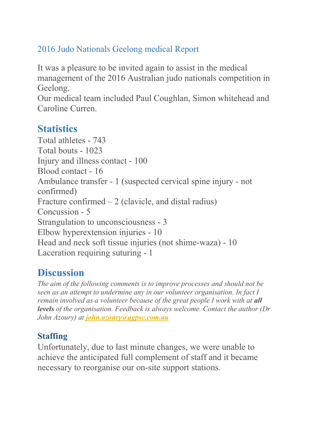#### 2016 Judo Nationals Geelong medical Report

It was a pleasure to be invited again to assist in the medical management of the 2016 Australian judo nationals competition in Geelong.

Our medical team included Paul Coughlan, Simon whitehead and Caroline Curren.

# **Statistics**

Total athletes - 743 Total bouts - 1023 Injury and illness contact - 100 Blood contact - 16 Ambulance transfer - 1 (suspected cervical spine injury - not confirmed) Fracture confirmed  $-2$  (clavicle, and distal radius) Concussion - 5 Strangulation to unconsciousness - 3 Elbow hyperextension injuries - 10 Head and neck soft tissue injuries (not shime-waza) - 10 Laceration requiring suturing - 1

# **Discussion**

*The aim of the following comments is to improve processes and should not be seen as an attempt to undermine any in our volunteer organisation. In fact I remain involved as a volunteer because of the great people I work with at all levels of the organisation. Feedback is always welcome. Contact the author (Dr John Azoury) at [john.azoury@qgpsc.com.au](mailto:john.azoury@qgpsc.com.au)*

## **Staffing**

Unfortunately, due to last minute changes, we were unable to achieve the anticipated full complement of staff and it became necessary to reorganise our on-site support stations.